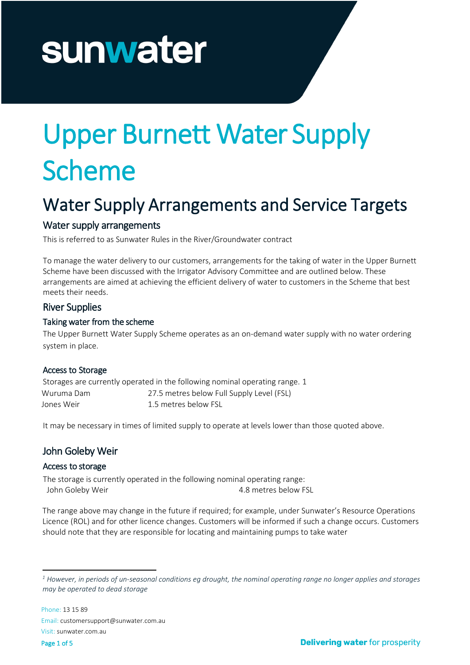# sunwater

# Upper Burnett Water Supply Scheme

# Water Supply Arrangements and Service Targets

# Water supply arrangements

This is referred to as Sunwater Rules in the River/Groundwater contract

To manage the water delivery to our customers, arrangements for the taking of water in the Upper Burnett Scheme have been discussed with the Irrigator Advisory Committee and are outlined below. These arrangements are aimed at achieving the efficient delivery of water to customers in the Scheme that best meets their needs.

# River Supplies

# Taking water from the scheme

The Upper Burnett Water Supply Scheme operates as an on-demand water supply with no water ordering system in place.

# Access to Storage

Storages are currently operated in the following nominal operating range. [1](#page-0-0) Wuruma Dam 27.5 metres below Full Supply Level (FSL) Jones Weir 1.5 metres below FSL

It may be necessary in times of limited supply to operate at levels lower than those quoted above.

# John Goleby Weir

#### Access to storage

The storage is currently operated in the following nominal operating range: John Goleby Weir **4.8 metres below FSL** 

The range above may change in the future if required; for example, under Sunwater's Resource Operations Licence (ROL) and for other licence changes. Customers will be informed if such a change occurs. Customers should note that they are responsible for locating and maintaining pumps to take water

<span id="page-0-0"></span>*<sup>1</sup> However, in periods of un-seasonal conditions eg drought, the nominal operating range no longer applies and storages may be operated to dead storage*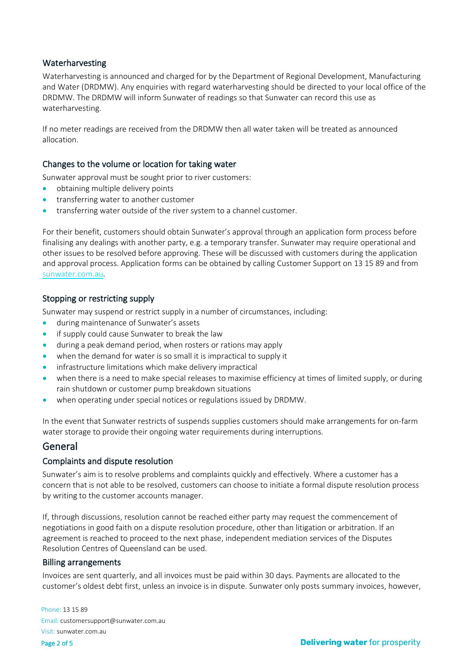#### Waterharvesting

Waterharvesting is announced and charged for by the Department of Regional Development, Manufacturing and Water (DRDMW). Any enquiries with regard waterharvesting should be directed to your local office of the DRDMW. The DRDMW will inform Sunwater of readings so that Sunwater can record this use as waterharvesting.

If no meter readings are received from the DRDMW then all water taken will be treated as announced allocation.

#### Changes to the volume or location for taking water

Sunwater approval must be sought prior to river customers:

- obtaining multiple delivery points
- transferring water to another customer
- transferring water outside of the river system to a channel customer.

For their benefit, customers should obtain Sunwater's approval through an application form process before finalising any dealings with another party, e.g. a temporary transfer. Sunwater may require operational and other issues to be resolved before approving. These will be discussed with customers during the application and approval process. Application forms can be obtained by calling Customer Support on 13 15 89 and from [sunwater.com.au.](http://www.sunwater.com.au/)

#### Stopping or restricting supply

Sunwater may suspend or restrict supply in a number of circumstances, including:

- during maintenance of Sunwater's assets
- if supply could cause Sunwater to break the law
- during a peak demand period, when rosters or rations may apply
- when the demand for water is so small it is impractical to supply it
- infrastructure limitations which make delivery impractical
- when there is a need to make special releases to maximise efficiency at times of limited supply, or during rain shutdown or customer pump breakdown situations
- when operating under special notices or regulations issued by DRDMW.

In the event that Sunwater restricts of suspends supplies customers should make arrangements for on-farm water storage to provide their ongoing water requirements during interruptions.

#### General

#### Complaints and dispute resolution

Sunwater's aim is to resolve problems and complaints quickly and effectively. Where a customer has a concern that is not able to be resolved, customers can choose to initiate a formal dispute resolution process by writing to the customer accounts manager.

If, through discussions, resolution cannot be reached either party may request the commencement of negotiations in good faith on a dispute resolution procedure, other than litigation or arbitration. If an agreement is reached to proceed to the next phase, independent mediation services of the Disputes Resolution Centres of Queensland can be used.

#### Billing arrangements

Invoices are sent quarterly, and all invoices must be paid within 30 days. Payments are allocated to the customer's oldest debt first, unless an invoice is in dispute. Sunwater only posts summary invoices, however,

Phone: 13 15 89 Email: customersupport@sunwater.com.au Visit: sunwater.com.au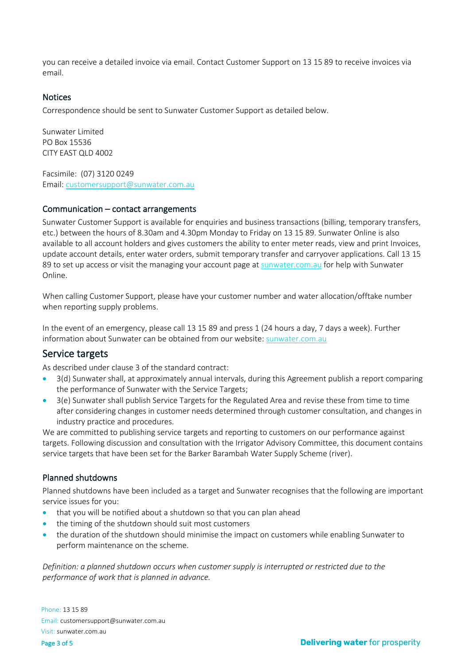you can receive a detailed invoice via email. Contact Customer Support on 13 15 89 to receive invoices via email.

#### **Notices**

Correspondence should be sent to Sunwater Customer Support as detailed below.

Sunwater Limited PO Box 15536 CITY EAST QLD 4002

Facsimile: (07) 3120 0249 Email: [customersupport@sunwater.com.au](mailto:customersupport@sunwater.com.au)

#### Communication – contact arrangements

Sunwater Customer Support is available for enquiries and business transactions (billing, temporary transfers, etc.) between the hours of 8.30am and 4.30pm Monday to Friday on 13 15 89. Sunwater Online is also available to all account holders and gives customers the ability to enter meter reads, view and print Invoices, update account details, enter water orders, submit temporary transfer and carryover applications. Call 13 15 89 to set up access or visit the managing your account page a[t sunwater.com.au](http://www.sunwater.com.au/) for help with Sunwater Online.

When calling Customer Support, please have your customer number and water allocation/offtake number when reporting supply problems.

In the event of an emergency, please call 13 15 89 and press 1 (24 hours a day, 7 days a week). Further information about Sunwater can be obtained from our website: [sunwater.com.au](http://www.sunwater.com.au/)

# Service targets

As described under clause 3 of the standard contract:

- 3(d) Sunwater shall, at approximately annual intervals, during this Agreement publish a report comparing the performance of Sunwater with the Service Targets;
- 3(e) Sunwater shall publish Service Targets for the Regulated Area and revise these from time to time after considering changes in customer needs determined through customer consultation, and changes in industry practice and procedures.

We are committed to publishing service targets and reporting to customers on our performance against targets. Following discussion and consultation with the Irrigator Advisory Committee, this document contains service targets that have been set for the Barker Barambah Water Supply Scheme (river).

#### Planned shutdowns

Planned shutdowns have been included as a target and Sunwater recognises that the following are important service issues for you:

- that you will be notified about a shutdown so that you can plan ahead
- the timing of the shutdown should suit most customers
- the duration of the shutdown should minimise the impact on customers while enabling Sunwater to perform maintenance on the scheme.

*Definition: a planned shutdown occurs when customer supply is interrupted or restricted due to the performance of work that is planned in advance.*

Phone: 13 15 89 Email: customersupport@sunwater.com.au Visit: sunwater.com.au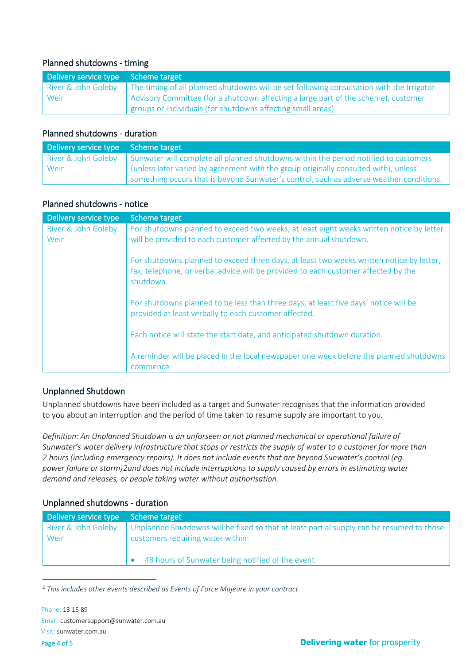# Planned shutdowns - timing

| Delivery service type Scheme target |                                                                                           |
|-------------------------------------|-------------------------------------------------------------------------------------------|
| River & John Goleby                 | The timing of all planned shutdowns will be set following consultation with the Irrigator |
| Weir                                | Advisory Committee (for a shutdown affecting a large part of the scheme), customer        |
|                                     | groups or individuals (for shutdowns affecting small areas).                              |

#### Planned shutdowns - duration

| Delivery service type Scheme target |                                                                                         |
|-------------------------------------|-----------------------------------------------------------------------------------------|
| River & John Goleby                 | Sunwater will complete all planned shutdowns within the period notified to customers    |
| ı Weir                              | (unless later varied by agreement with the group originally consulted with), unless     |
|                                     | something occurs that is beyond Sunwater's control, such as adverse weather conditions. |

# Planned shutdowns - notice

| Delivery service type       | Scheme target                                                                                                                                                                               |
|-----------------------------|---------------------------------------------------------------------------------------------------------------------------------------------------------------------------------------------|
| River & John Goleby<br>Weir | For shutdowns planned to exceed two weeks, at least eight weeks written notice by letter<br>will be provided to each customer affected by the annual shutdown.                              |
|                             | For shutdowns planned to exceed three days, at least two weeks written notice by letter,<br>fax, telephone, or verbal advice will be provided to each customer affected by the<br>shutdown. |
|                             | For shutdowns planned to be less than three days, at least five days' notice will be<br>provided at least verbally to each customer affected.                                               |
|                             | Each notice will state the start date, and anticipated shutdown duration.                                                                                                                   |
|                             | A reminder will be placed in the local newspaper one week before the planned shutdowns<br>commence                                                                                          |

# Unplanned Shutdown

Unplanned shutdowns have been included as a target and Sunwater recognises that the information provided to you about an interruption and the period of time taken to resume supply are important to you.

*Definition: An Unplanned Shutdown is an unforseen or not planned mechanical or operational failure of Sunwater's water delivery infrastructure that stops or restricts the supply of water to a customer for more than 2 hours (including emergency repairs). It does not include events that are beyond Sunwater's control (eg. power failure or storm)[2a](#page-3-0)nd does not include interruptions to supply caused by errors in estimating water demand and releases, or people taking water without authorisation.*

# Unplanned shutdowns - duration

| Delivery service type Scheme target |                                                                                           |
|-------------------------------------|-------------------------------------------------------------------------------------------|
| River & John Goleby                 | Unplanned Shutdowns will be fixed so that at least partial supply can be resumed to those |
| Weir                                | customers requiring water within:                                                         |
|                                     |                                                                                           |
|                                     | 48 hours of Sunwater being notified of the event                                          |

<span id="page-3-0"></span><sup>2</sup> *This includes other events described as Events of Force Majeure in your contract*